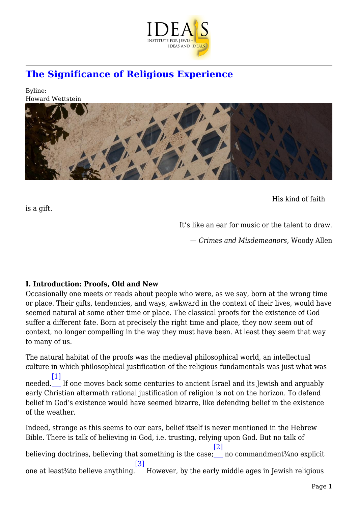

# **[The Significance of Religious Experience](https://www.jewishideas.org/article/significance-religious-experience)**

Byline: Howard Wettstein



is a gift.

His kind of faith

It's like an ear for music or the talent to draw.

— *Crimes and Misdemeanors,* Woody Allen

# **I. Introduction: Proofs, Old and New**

Occasionally one meets or reads about people who were, as we say, born at the wrong time or place. Their gifts, tendencies, and ways, awkward in the context of their lives, would have seemed natural at some other time or place. The classical proofs for the existence of God suffer a different fate. Born at precisely the right time and place, they now seem out of context, no longer compelling in the way they must have been. At least they seem that way to many of us.

The natural habitat of the proofs was the medieval philosophical world, an intellectual culture in which philosophical justification of the religious fundamentals was just what was [\[1\]](#page-14-0)

<span id="page-0-0"></span>needed. If one moves back some centuries to ancient Israel and its Jewish and arguably early Christian aftermath rational justification of religion is not on the horizon. To defend belief in God's existence would have seemed bizarre, like defending belief in the existence of the weather.

Indeed, strange as this seems to our ears, belief itself is never mentioned in the Hebrew Bible. There is talk of believing *in* God, i.e. trusting, relying upon God. But no talk of

<span id="page-0-1"></span>believing doctrines, believing that something is the case;\_\_ no commandment¾no explicit [\[2\]](#page-14-1) [\[3\]](#page-15-0)

<span id="page-0-2"></span>one at least¾to believe anything.\_\_\_ However, by the early middle ages in Jewish religious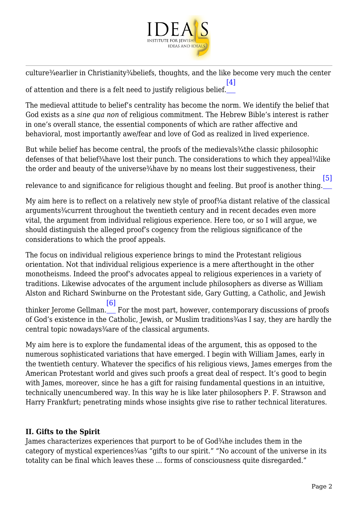

<span id="page-1-0"></span>culture¾earlier in Christianity¾beliefs, thoughts, and the like become very much the center of attention and there is a felt need to justify religious belief. [\[4\]](#page-15-1)

The medieval attitude to belief's centrality has become the norm. We identify the belief that God exists as a *sine qua non* of religious commitment. The Hebrew Bible's interest is rather in one's overall stance, the essential components of which are rather affective and behavioral, most importantly awe/fear and love of God as realized in lived experience.

But while belief has become central, the proofs of the medievals<sup>3</sup>/<sub>4</sub>the classic philosophic defenses of that belief¼have lost their punch. The considerations to which they appeal¼like the order and beauty of the universe<sup>3</sup>/4 have by no means lost their suggestiveness, their

<span id="page-1-1"></span>relevance to and significance for religious thought and feeling. But proof is another thing. [\[5\]](#page-15-2)

My aim here is to reflect on a relatively new style of proof<sup>3</sup>/4a distant relative of the classical arguments¾current throughout the twentieth century and in recent decades even more vital, the argument from individual religious experience. Here too, or so I will argue, we should distinguish the alleged proof's cogency from the religious significance of the considerations to which the proof appeals.

The focus on individual religious experience brings to mind the Protestant religious orientation. Not that individual religious experience is a mere afterthought in the other monotheisms. Indeed the proof's advocates appeal to religious experiences in a variety of traditions. Likewise advocates of the argument include philosophers as diverse as William Alston and Richard Swinburne on the Protestant side, Gary Gutting, a Catholic, and Jewish

<span id="page-1-2"></span>thinker Jerome Gellman. For the most part, however, contemporary discussions of proofs [\[6\]](#page-15-3) of God's existence in the Catholic, Jewish, or Muslim traditions¾as I say, they are hardly the central topic nowadays¾are of the classical arguments.

My aim here is to explore the fundamental ideas of the argument, this as opposed to the numerous sophisticated variations that have emerged. I begin with William James, early in the twentieth century. Whatever the specifics of his religious views, James emerges from the American Protestant world and gives such proofs a great deal of respect. It's good to begin with James, moreover, since he has a gift for raising fundamental questions in an intuitive, technically unencumbered way. In this way he is like later philosophers P. F. Strawson and Harry Frankfurt; penetrating minds whose insights give rise to rather technical literatures.

# **II. Gifts to the Spirit**

James characterizes experiences that purport to be of God¾he includes them in the category of mystical experiences<sup>3</sup>/4as "gifts to our spirit." "No account of the universe in its totality can be final which leaves these … forms of consciousness quite disregarded."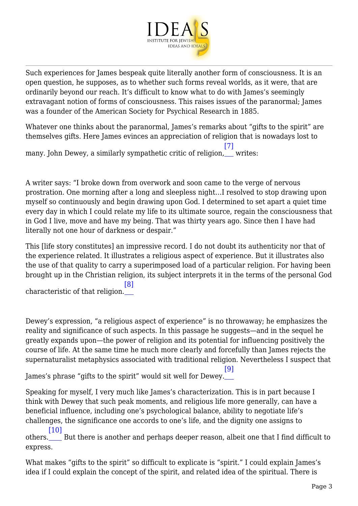

Such experiences for James bespeak quite literally another form of consciousness. It is an open question, he supposes, as to whether such forms reveal worlds, as it were, that are ordinarily beyond our reach. It's difficult to know what to do with James's seemingly extravagant notion of forms of consciousness. This raises issues of the paranormal; James was a founder of the American Society for Psychical Research in 1885.

Whatever one thinks about the paranormal, James's remarks about "gifts to the spirit" are themselves gifts. Here James evinces an appreciation of religion that is nowadays lost to [\[7\]](#page-15-4)

<span id="page-2-0"></span>many. John Dewey, a similarly sympathetic critic of religion, writes:

A writer says: "I broke down from overwork and soon came to the verge of nervous prostration. One morning after a long and sleepless night…I resolved to stop drawing upon myself so continuously and begin drawing upon God. I determined to set apart a quiet time every day in which I could relate my life to its ultimate source, regain the consciousness that in God I live, move and have my being. That was thirty years ago. Since then I have had literally not one hour of darkness or despair."

This [life story constitutes] an impressive record. I do not doubt its authenticity nor that of the experience related. It illustrates a religious aspect of experience. But it illustrates also the use of that quality to carry a superimposed load of a particular religion. For having been brought up in the Christian religion, its subject interprets it in the terms of the personal God [\[8\]](#page-15-5)

<span id="page-2-1"></span>characteristic of that religion.

Dewey's expression, "a religious aspect of experience" is no throwaway; he emphasizes the reality and significance of such aspects. In this passage he suggests—and in the sequel he greatly expands upon—the power of religion and its potential for influencing positively the course of life. At the same time he much more clearly and forcefully than James rejects the supernaturalist metaphysics associated with traditional religion. Nevertheless I suspect that

<span id="page-2-2"></span>James's phrase "gifts to the spirit" would sit well for Dewey. [\[9\]](#page-15-6)

Speaking for myself, I very much like James's characterization. This is in part because I think with Dewey that such peak moments, and religious life more generally, can have a beneficial influence, including one's psychological balance, ability to negotiate life's challenges, the significance one accords to one's life, and the dignity one assigns to

<span id="page-2-3"></span>others. [\[10\]](#page-15-7) But there is another and perhaps deeper reason, albeit one that I find difficult to express.

What makes "gifts to the spirit" so difficult to explicate is "spirit." I could explain James's idea if I could explain the concept of the spirit, and related idea of the spiritual. There is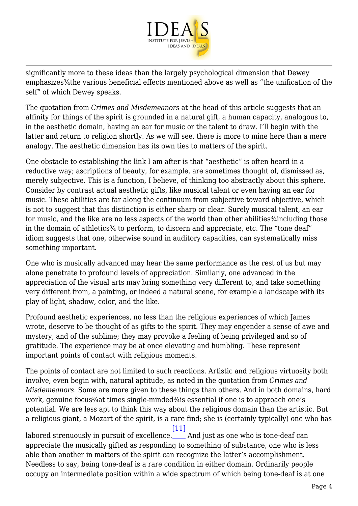

significantly more to these ideas than the largely psychological dimension that Dewey emphasizes¾the various beneficial effects mentioned above as well as "the unification of the self" of which Dewey speaks.

The quotation from *Crimes and Misdemeanors* at the head of this article suggests that an affinity for things of the spirit is grounded in a natural gift, a human capacity, analogous to, in the aesthetic domain, having an ear for music or the talent to draw. I'll begin with the latter and return to religion shortly. As we will see, there is more to mine here than a mere analogy. The aesthetic dimension has its own ties to matters of the spirit.

One obstacle to establishing the link I am after is that "aesthetic" is often heard in a reductive way; ascriptions of beauty, for example, are sometimes thought of, dismissed as, merely subjective. This is a function, I believe, of thinking too abstractly about this sphere. Consider by contrast actual aesthetic gifts, like musical talent or even having an ear for music. These abilities are far along the continuum from subjective toward objective, which is not to suggest that this distinction is either sharp or clear. Surely musical talent, an ear for music, and the like are no less aspects of the world than other abilities<sup>3</sup>/4 including those in the domain of athletics<sup>3</sup>/<sub>4</sub> to perform, to discern and appreciate, etc. The "tone deaf" idiom suggests that one, otherwise sound in auditory capacities, can systematically miss something important.

One who is musically advanced may hear the same performance as the rest of us but may alone penetrate to profound levels of appreciation. Similarly, one advanced in the appreciation of the visual arts may bring something very different to, and take something very different from, a painting, or indeed a natural scene, for example a landscape with its play of light, shadow, color, and the like.

Profound aesthetic experiences, no less than the religious experiences of which James wrote, deserve to be thought of as gifts to the spirit. They may engender a sense of awe and mystery, and of the sublime; they may provoke a feeling of being privileged and so of gratitude. The experience may be at once elevating and humbling. These represent important points of contact with religious moments.

The points of contact are not limited to such reactions. Artistic and religious virtuosity both involve, even begin with, natural aptitude, as noted in the quotation from *Crimes and Misdemeanors*. Some are more given to these things than others. And in both domains, hard work, genuine focus<sup>3</sup>/<sub>4</sub>at times single-minded<sup>3</sup>/<sub>4</sub>is essential if one is to approach one's potential. We are less apt to think this way about the religious domain than the artistic. But a religious giant, a Mozart of the spirit, is a rare find; she is (certainly typically) one who has

<span id="page-3-0"></span>labored strenuously in pursuit of excellence. And just as one who is tone-deaf can [\[11\]](#page-15-8) appreciate the musically gifted as responding to something of substance, one who is less able than another in matters of the spirit can recognize the latter's accomplishment. Needless to say, being tone-deaf is a rare condition in either domain. Ordinarily people occupy an intermediate position within a wide spectrum of which being tone-deaf is at one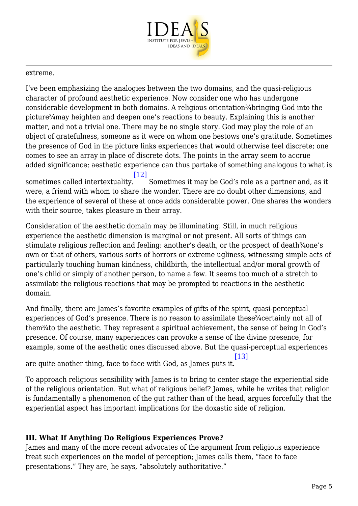

#### extreme.

I've been emphasizing the analogies between the two domains, and the quasi-religious character of profound aesthetic experience. Now consider one who has undergone considerable development in both domains. A religious orientation¾bringing God into the picture¾may heighten and deepen one's reactions to beauty. Explaining this is another matter, and not a trivial one. There may be no single story. God may play the role of an object of gratefulness, someone as it were on whom one bestows one's gratitude. Sometimes the presence of God in the picture links experiences that would otherwise feel discrete; one comes to see an array in place of discrete dots. The points in the array seem to accrue added significance; aesthetic experience can thus partake of something analogous to what is [\[12\]](#page-16-0)

<span id="page-4-0"></span>sometimes called intertextuality. Sometimes it may be God's role as a partner and, as it were, a friend with whom to share the wonder. There are no doubt other dimensions, and the experience of several of these at once adds considerable power. One shares the wonders with their source, takes pleasure in their array.

Consideration of the aesthetic domain may be illuminating. Still, in much religious experience the aesthetic dimension is marginal or not present. All sorts of things can stimulate religious reflection and feeling: another's death, or the prospect of death $\frac{3}{4}$ one's own or that of others, various sorts of horrors or extreme ugliness, witnessing simple acts of particularly touching human kindness, childbirth, the intellectual and/or moral growth of one's child or simply of another person, to name a few. It seems too much of a stretch to assimilate the religious reactions that may be prompted to reactions in the aesthetic domain.

And finally, there are James's favorite examples of gifts of the spirit, quasi-perceptual experiences of God's presence. There is no reason to assimilate these¾certainly not all of them¾to the aesthetic. They represent a spiritual achievement, the sense of being in God's presence. Of course, many experiences can provoke a sense of the divine presence, for example, some of the aesthetic ones discussed above. But the quasi-perceptual experiences

<span id="page-4-1"></span>are quite another thing, face to face with God, as James puts it. [\[13\]](#page-16-1)

To approach religious sensibility with James is to bring to center stage the experiential side of the religious orientation. But what of religious belief? James, while he writes that religion is fundamentally a phenomenon of the gut rather than of the head, argues forcefully that the experiential aspect has important implications for the doxastic side of religion.

# **III. What If Anything Do Religious Experiences Prove?**

James and many of the more recent advocates of the argument from religious experience treat such experiences on the model of perception; James calls them, "face to face presentations." They are, he says, "absolutely authoritative."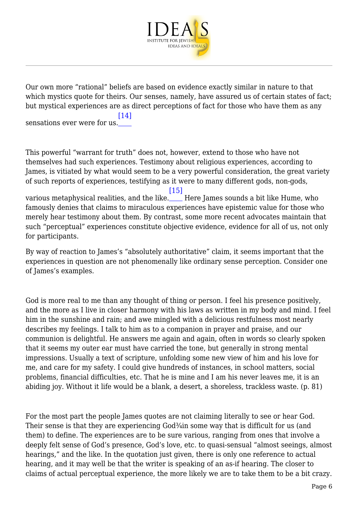

<span id="page-5-0"></span>Our own more "rational" beliefs are based on evidence exactly similar in nature to that which mystics quote for theirs. Our senses, namely, have assured us of certain states of fact; but mystical experiences are as direct perceptions of fact for those who have them as any sensations ever were for us.  $[14]$ 

This powerful "warrant for truth" does not, however, extend to those who have not themselves had such experiences. Testimony about religious experiences, according to James, is vitiated by what would seem to be a very powerful consideration, the great variety of such reports of experiences, testifying as it were to many different gods, non-gods,

<span id="page-5-1"></span>various metaphysical realities, and the like. Here James sounds a bit like Hume, who  $[15]$ famously denies that claims to miraculous experiences have epistemic value for those who merely hear testimony about them. By contrast, some more recent advocates maintain that such "perceptual" experiences constitute objective evidence, evidence for all of us, not only for participants.

By way of reaction to James's "absolutely authoritative" claim, it seems important that the experiences in question are not phenomenally like ordinary sense perception. Consider one of James's examples.

God is more real to me than any thought of thing or person. I feel his presence positively, and the more as I live in closer harmony with his laws as written in my body and mind. I feel him in the sunshine and rain; and awe mingled with a delicious restfulness most nearly describes my feelings. I talk to him as to a companion in prayer and praise, and our communion is delightful. He answers me again and again, often in words so clearly spoken that it seems my outer ear must have carried the tone, but generally in strong mental impressions. Usually a text of scripture, unfolding some new view of him and his love for me, and care for my safety. I could give hundreds of instances, in school matters, social problems, financial difficulties, etc. That he is mine and I am his never leaves me, it is an abiding joy. Without it life would be a blank, a desert, a shoreless, trackless waste. (p. 81)

For the most part the people James quotes are not claiming literally to see or hear God. Their sense is that they are experiencing God¼in some way that is difficult for us (and them) to define. The experiences are to be sure various, ranging from ones that involve a deeply felt sense of God's presence, God's love, etc. to quasi-sensual "almost seeings, almost hearings," and the like. In the quotation just given, there is only one reference to actual hearing, and it may well be that the writer is speaking of an as-if hearing. The closer to claims of actual perceptual experience, the more likely we are to take them to be a bit crazy.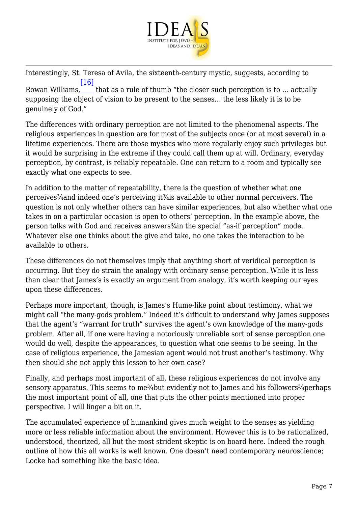

Interestingly, St. Teresa of Avila, the sixteenth-century mystic, suggests, according to [\[16\]](#page-16-4)

<span id="page-6-0"></span>Rowan Williams, that as a rule of thumb "the closer such perception is to … actually supposing the object of vision to be present to the senses… the less likely it is to be genuinely of God."

The differences with ordinary perception are not limited to the phenomenal aspects. The religious experiences in question are for most of the subjects once (or at most several) in a lifetime experiences. There are those mystics who more regularly enjoy such privileges but it would be surprising in the extreme if they could call them up at will. Ordinary, everyday perception, by contrast, is reliably repeatable. One can return to a room and typically see exactly what one expects to see.

In addition to the matter of repeatability, there is the question of whether what one perceives¾and indeed one's perceiving it¾is available to other normal perceivers. The question is not only whether others can have similar experiences, but also whether what one takes in on a particular occasion is open to others' perception. In the example above, the person talks with God and receives answers¾in the special "as-if perception" mode. Whatever else one thinks about the give and take, no one takes the interaction to be available to others.

These differences do not themselves imply that anything short of veridical perception is occurring. But they do strain the analogy with ordinary sense perception. While it is less than clear that James's is exactly an argument from analogy, it's worth keeping our eyes upon these differences.

Perhaps more important, though, is James's Hume-like point about testimony, what we might call "the many-gods problem." Indeed it's difficult to understand why James supposes that the agent's "warrant for truth" survives the agent's own knowledge of the many-gods problem. After all, if one were having a notoriously unreliable sort of sense perception one would do well, despite the appearances, to question what one seems to be seeing. In the case of religious experience, the Jamesian agent would not trust another's testimony. Why then should she not apply this lesson to her own case?

Finally, and perhaps most important of all, these religious experiences do not involve any sensory apparatus. This seems to me<sup>3</sup>/4but evidently not to James and his followers<sup>3</sup>/4perhaps the most important point of all, one that puts the other points mentioned into proper perspective. I will linger a bit on it.

The accumulated experience of humankind gives much weight to the senses as yielding more or less reliable information about the environment. However this is to be rationalized, understood, theorized, all but the most strident skeptic is on board here. Indeed the rough outline of how this all works is well known. One doesn't need contemporary neuroscience; Locke had something like the basic idea.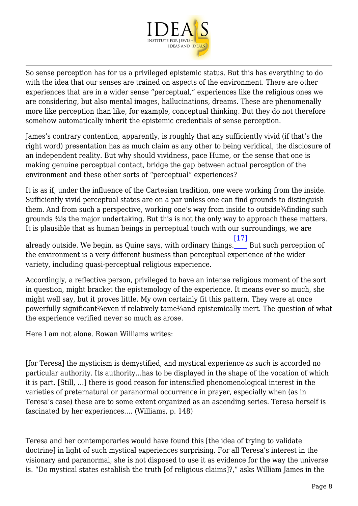

So sense perception has for us a privileged epistemic status. But this has everything to do with the idea that our senses are trained on aspects of the environment. There are other experiences that are in a wider sense "perceptual," experiences like the religious ones we are considering, but also mental images, hallucinations, dreams. These are phenomenally more like perception than like, for example, conceptual thinking. But they do not therefore somehow automatically inherit the epistemic credentials of sense perception.

James's contrary contention, apparently, is roughly that any sufficiently vivid (if that's the right word) presentation has as much claim as any other to being veridical, the disclosure of an independent reality. But why should vividness, pace Hume, or the sense that one is making genuine perceptual contact, bridge the gap between actual perception of the environment and these other sorts of "perceptual" experiences?

It is as if, under the influence of the Cartesian tradition, one were working from the inside. Sufficiently vivid perceptual states are on a par unless one can find grounds to distinguish them. And from such a perspective, working one's way from inside to outside<sup>3</sup>/<sub>4</sub>finding such grounds ¾is the major undertaking. But this is not the only way to approach these matters. It is plausible that as human beings in perceptual touch with our surroundings, we are

<span id="page-7-0"></span>already outside. We begin, as Quine says, with ordinary things.\_\_\_\_ But such perception of [\[17\]](#page-16-5) the environment is a very different business than perceptual experience of the wider variety, including quasi-perceptual religious experience.

Accordingly, a reflective person, privileged to have an intense religious moment of the sort in question, might bracket the epistemology of the experience. It means ever so much, she might well say, but it proves little. My own certainly fit this pattern. They were at once powerfully significant<sup>3</sup>/<sub>4</sub>even if relatively tame<sup>3</sup>/<sub>4</sub>and epistemically inert. The question of what the experience verified never so much as arose.

Here I am not alone. Rowan Williams writes:

[for Teresa] the mysticism is demystified, and mystical experience *as such* is accorded no particular authority. Its authority…has to be displayed in the shape of the vocation of which it is part. [Still, …] there is good reason for intensified phenomenological interest in the varieties of preternatural or paranormal occurrence in prayer, especially when (as in Teresa's case) these are to some extent organized as an ascending series. Teresa herself is fascinated by her experiences…. (Williams, p. 148)

Teresa and her contemporaries would have found this [the idea of trying to validate doctrine] in light of such mystical experiences surprising. For all Teresa's interest in the visionary and paranormal, she is not disposed to use it as evidence for the way the universe is. "Do mystical states establish the truth [of religious claims]?," asks William James in the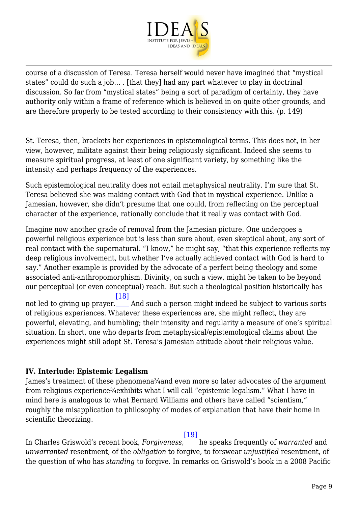

course of a discussion of Teresa. Teresa herself would never have imagined that "mystical states" could do such a job… . [that they] had any part whatever to play in doctrinal discussion. So far from "mystical states" being a sort of paradigm of certainty, they have authority only within a frame of reference which is believed in on quite other grounds, and are therefore properly to be tested according to their consistency with this. (p. 149)

St. Teresa, then, brackets her experiences in epistemological terms. This does not, in her view, however, militate against their being religiously significant. Indeed she seems to measure spiritual progress, at least of one significant variety, by something like the intensity and perhaps frequency of the experiences.

Such epistemological neutrality does not entail metaphysical neutrality. I'm sure that St. Teresa believed she was making contact with God that in mystical experience. Unlike a Jamesian, however, she didn't presume that one could, from reflecting on the perceptual character of the experience, rationally conclude that it really was contact with God.

Imagine now another grade of removal from the Jamesian picture. One undergoes a powerful religious experience but is less than sure about, even skeptical about, any sort of real contact with the supernatural. "I know," he might say, "that this experience reflects my deep religious involvement, but whether I've actually achieved contact with God is hard to say." Another example is provided by the advocate of a perfect being theology and some associated anti-anthropomorphism. Divinity, on such a view, might be taken to be beyond our perceptual (or even conceptual) reach. But such a theological position historically has

<span id="page-8-0"></span>not led to giving up prayer.\_\_\_\_ And such a person might indeed be subject to various sorts [\[18\]](#page-16-6) of religious experiences. Whatever these experiences are, she might reflect, they are powerful, elevating, and humbling; their intensity and regularity a measure of one's spiritual situation. In short, one who departs from metaphysical/epistemological claims about the experiences might still adopt St. Teresa's Jamesian attitude about their religious value.

# **IV. Interlude: Epistemic Legalism**

James's treatment of these phenomena¾and even more so later advocates of the argument from religious experience<sup>3</sup>/<sub>4</sub> exhibits what I will call "epistemic legalism." What I have in mind here is analogous to what Bernard Williams and others have called "scientism," roughly the misapplication to philosophy of modes of explanation that have their home in scientific theorizing.

# [\[19\]](#page-16-7)

<span id="page-8-2"></span><span id="page-8-1"></span>In Charles Griswold's recent book, *Forgiveness,* he speaks frequently of *warranted* and *unwarranted* resentment, of the *obligation* to forgive, to forswear *unjustified* resentment, of the question of who has *standing* to forgive. In remarks on Griswold's book in a 2008 Pacific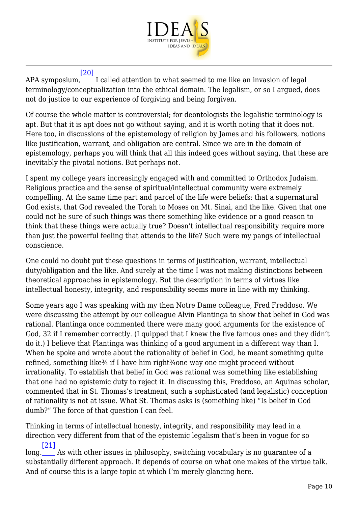

# [\[20\]](#page-16-8)

APA symposium, I called attention to what seemed to me like an invasion of legal terminology/conceptualization into the ethical domain. The legalism, or so I argued, does not do justice to our experience of forgiving and being forgiven.

Of course the whole matter is controversial; for deontologists the legalistic terminology is apt. But that it is apt does not go without saying, and it is worth noting that it does not. Here too, in discussions of the epistemology of religion by James and his followers, notions like justification, warrant, and obligation are central. Since we are in the domain of epistemology, perhaps you will think that all this indeed goes without saying, that these are inevitably the pivotal notions. But perhaps not.

I spent my college years increasingly engaged with and committed to Orthodox Judaism. Religious practice and the sense of spiritual/intellectual community were extremely compelling. At the same time part and parcel of the life were beliefs: that a supernatural God exists, that God revealed the Torah to Moses on Mt. Sinai, and the like. Given that one could not be sure of such things was there something like evidence or a good reason to think that these things were actually true? Doesn't intellectual responsibility require more than just the powerful feeling that attends to the life? Such were my pangs of intellectual conscience.

One could no doubt put these questions in terms of justification, warrant, intellectual duty/obligation and the like. And surely at the time I was not making distinctions between theoretical approaches in epistemology. But the description in terms of virtues like intellectual honesty, integrity, and responsibility seems more in line with my thinking.

Some years ago I was speaking with my then Notre Dame colleague, Fred Freddoso. We were discussing the attempt by our colleague Alvin Plantinga to show that belief in God was rational. Plantinga once commented there were many good arguments for the existence of God, 32 if I remember correctly. (I quipped that I knew the five famous ones and they didn't do it.) I believe that Plantinga was thinking of a good argument in a different way than I. When he spoke and wrote about the rationality of belief in God, he meant something quite refined, something like<sup>3</sup>/<sub>4</sub> if I have him right<sup>3</sup>/<sub>4</sub> one way one might proceed without irrationality. To establish that belief in God was rational was something like establishing that one had no epistemic duty to reject it. In discussing this, Freddoso, an Aquinas scholar, commented that in St. Thomas's treatment, such a sophisticated (and legalistic) conception of rationality is not at issue. What St. Thomas asks is (something like) "Is belief in God dumb?" The force of that question I can feel.

<span id="page-9-0"></span>Thinking in terms of intellectual honesty, integrity, and responsibility may lead in a direction very different from that of the epistemic legalism that's been in vogue for so long. As with other issues in philosophy, switching vocabulary is no guarantee of a [\[21\]](#page-16-9) substantially different approach. It depends of course on what one makes of the virtue talk.

And of course this is a large topic at which I'm merely glancing here.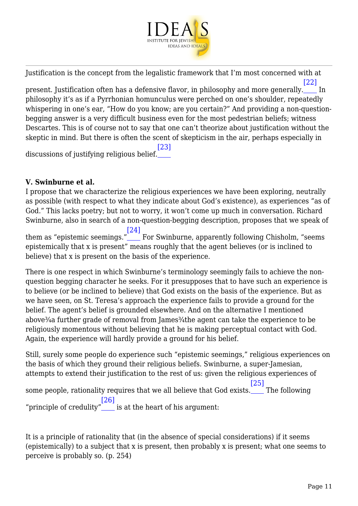

Justification is the concept from the legalistic framework that I'm most concerned with at [\[22\]](#page-16-10)

<span id="page-10-0"></span>present. Justification often has a defensive flavor, in philosophy and more generally. In philosophy it's as if a Pyrrhonian homunculus were perched on one's shoulder, repeatedly whispering in one's ear, "How do you know; are you certain?" And providing a non-questionbegging answer is a very difficult business even for the most pedestrian beliefs; witness Descartes. This is of course not to say that one can't theorize about justification without the skeptic in mind. But there is often the scent of skepticism in the air, perhaps especially in [\[23\]](#page-16-11)

<span id="page-10-1"></span>discussions of justifying religious belief.

# **V. Swinburne et al.**

I propose that we characterize the religious experiences we have been exploring, neutrally as possible (with respect to what they indicate about God's existence), as experiences "as of God." This lacks poetry; but not to worry, it won't come up much in conversation. Richard Swinburne, also in search of a non-question-begging description, proposes that we speak of them as "epistemic seemings." [\[24\]](#page-17-0) For Swinburne, apparently following Chisholm, "seems

<span id="page-10-2"></span>epistemically that x is present" means roughly that the agent believes (or is inclined to believe) that x is present on the basis of the experience.

There is one respect in which Swinburne's terminology seemingly fails to achieve the nonquestion begging character he seeks. For it presupposes that to have such an experience is to believe (or be inclined to believe) that God exists on the basis of the experience. But as we have seen, on St. Teresa's approach the experience fails to provide a ground for the belief. The agent's belief is grounded elsewhere. And on the alternative I mentioned above¾a further grade of removal from James¾the agent can take the experience to be religiously momentous without believing that he is making perceptual contact with God. Again, the experience will hardly provide a ground for his belief.

Still, surely some people do experience such "epistemic seemings," religious experiences on the basis of which they ground their religious beliefs. Swinburne, a super-Jamesian, attempts to extend their justification to the rest of us: given the religious experiences of some people, rationality requires that we all believe that God exists.\_\_\_\_ The following [\[25\]](#page-17-1)

<span id="page-10-4"></span><span id="page-10-3"></span>"principle of credulity" [\[26\]](#page-17-2) is at the heart of his argument:

It is a principle of rationality that (in the absence of special considerations) if it seems (epistemically) to a subject that x is present, then probably x is present; what one seems to perceive is probably so. (p. 254)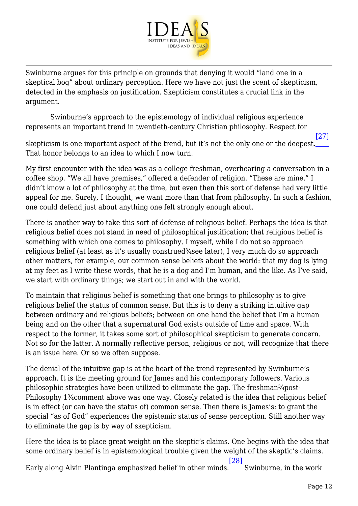

Swinburne argues for this principle on grounds that denying it would "land one in a skeptical bog" about ordinary perception. Here we have not just the scent of skepticism, detected in the emphasis on justification. Skepticism constitutes a crucial link in the argument.

 Swinburne's approach to the epistemology of individual religious experience represents an important trend in twentieth-century Christian philosophy. Respect for

<span id="page-11-0"></span>skepticism is one important aspect of the trend, but it's not the only one or the deepest. [\[27\]](#page-17-3) That honor belongs to an idea to which I now turn.

My first encounter with the idea was as a college freshman, overhearing a conversation in a coffee shop. "We all have premises," offered a defender of religion. "These are mine." I didn't know a lot of philosophy at the time, but even then this sort of defense had very little appeal for me. Surely, I thought, we want more than that from philosophy. In such a fashion, one could defend just about anything one felt strongly enough about.

There is another way to take this sort of defense of religious belief. Perhaps the idea is that religious belief does not stand in need of philosophical justification; that religious belief is something with which one comes to philosophy. I myself, while I do not so approach religious belief (at least as it's usually construed<sup>3</sup>/<sub>4</sub>see later), I very much do so approach other matters, for example, our common sense beliefs about the world: that my dog is lying at my feet as I write these words, that he is a dog and I'm human, and the like. As I've said, we start with ordinary things; we start out in and with the world.

To maintain that religious belief is something that one brings to philosophy is to give religious belief the status of common sense. But this is to deny a striking intuitive gap between ordinary and religious beliefs; between on one hand the belief that I'm a human being and on the other that a supernatural God exists outside of time and space. With respect to the former, it takes some sort of philosophical skepticism to generate concern. Not so for the latter. A normally reflective person, religious or not, will recognize that there is an issue here. Or so we often suppose.

The denial of the intuitive gap is at the heart of the trend represented by Swinburne's approach. It is the meeting ground for James and his contemporary followers. Various philosophic strategies have been utilized to eliminate the gap. The freshman<sup>3</sup>/4post-Philosophy 1¾comment above was one way. Closely related is the idea that religious belief is in effect (or can have the status of) common sense. Then there is James's: to grant the special "as of God" experiences the epistemic status of sense perception. Still another way to eliminate the gap is by way of skepticism.

Here the idea is to place great weight on the skeptic's claims. One begins with the idea that some ordinary belief is in epistemological trouble given the weight of the skeptic's claims.

<span id="page-11-1"></span>Early along Alvin Plantinga emphasized belief in other minds. [\[28\]](#page-17-4) Swinburne, in the work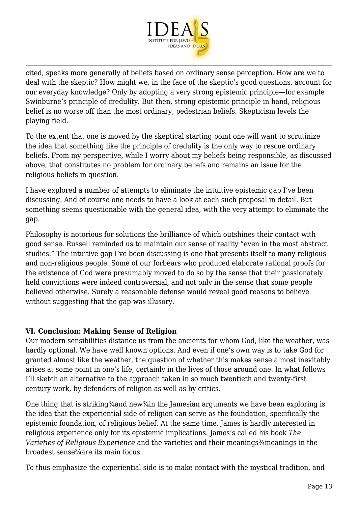

cited, speaks more generally of beliefs based on ordinary sense perception. How are we to deal with the skeptic? How might we, in the face of the skeptic's good questions, account for our everyday knowledge? Only by adopting a very strong epistemic principle—for example Swinburne's principle of credulity. But then, strong epistemic principle in hand, religious belief is no worse off than the most ordinary, pedestrian beliefs. Skepticism levels the playing field.

To the extent that one is moved by the skeptical starting point one will want to scrutinize the idea that something like the principle of credulity is the only way to rescue ordinary beliefs. From my perspective, while I worry about my beliefs being responsible, as discussed above, that constitutes no problem for ordinary beliefs and remains an issue for the religious beliefs in question.

I have explored a number of attempts to eliminate the intuitive epistemic gap I've been discussing. And of course one needs to have a look at each such proposal in detail. But something seems questionable with the general idea, with the very attempt to eliminate the gap.

Philosophy is notorious for solutions the brilliance of which outshines their contact with good sense. Russell reminded us to maintain our sense of reality "even in the most abstract studies." The intuitive gap I've been discussing is one that presents itself to many religious and non-religious people. Some of our forbears who produced elaborate rational proofs for the existence of God were presumably moved to do so by the sense that their passionately held convictions were indeed controversial, and not only in the sense that some people believed otherwise. Surely a reasonable defense would reveal good reasons to believe without suggesting that the gap was illusory.

# **VI. Conclusion: Making Sense of Religion**

Our modern sensibilities distance us from the ancients for whom God, like the weather, was hardly optional. We have well known options. And even if one's own way is to take God for granted almost like the weather, the question of whether this makes sense almost inevitably arises at some point in one's life, certainly in the lives of those around one. In what follows I'll sketch an alternative to the approach taken in so much twentieth and twenty-first century work, by defenders of religion as well as by critics.

One thing that is striking¾and new¾in the Jamesian arguments we have been exploring is the idea that the experiential side of religion can serve as the foundation, specifically the epistemic foundation, of religious belief. At the same time, James is hardly interested in religious experience only for its epistemic implications. James's called his book *The Varieties of Religious Experience* and the varieties and their meanings<sup>3</sup>/<sub>4</sub> meanings in the broadest sense¾are its main focus.

<span id="page-12-0"></span>To thus emphasize the experiential side is to make contact with the mystical tradition, and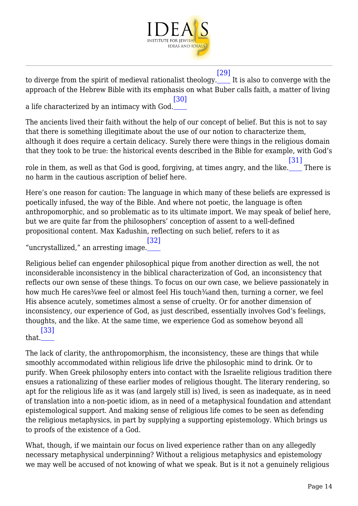

### [\[29\]](#page-17-5)

to diverge from the spirit of medieval rationalist theology. It is also to converge with the approach of the Hebrew Bible with its emphasis on what Buber calls faith, a matter of living [\[30\]](#page-17-6)

<span id="page-13-0"></span>a life characterized by an intimacy with God.

The ancients lived their faith without the help of our concept of belief. But this is not to say that there is something illegitimate about the use of our notion to characterize them, although it does require a certain delicacy. Surely there were things in the religious domain that they took to be true: the historical events described in the Bible for example, with God's

<span id="page-13-1"></span>role in them, as well as that God is good, forgiving, at times angry, and the like. [\[31\]](#page-17-7) There is no harm in the cautious ascription of belief here.

Here's one reason for caution: The language in which many of these beliefs are expressed is poetically infused, the way of the Bible. And where not poetic, the language is often anthropomorphic, and so problematic as to its ultimate import. We may speak of belief here, but we are quite far from the philosophers' conception of assent to a well-defined propositional content. Max Kadushin, reflecting on such belief, refers to it as

```
"uncrystallized," an arresting image.
                        [32]
```
Religious belief can engender philosophical pique from another direction as well, the not inconsiderable inconsistency in the biblical characterization of God, an inconsistency that reflects our own sense of these things. To focus on our own case, we believe passionately in how much He cares<sup>3</sup>/<sub>4</sub>we feel or almost feel His touch<sup>3</sup>/<sub>4</sub> and then, turning a corner, we feel His absence acutely, sometimes almost a sense of cruelty. Or for another dimension of inconsistency, our experience of God, as just described, essentially involves God's feelings, thoughts, and the like. At the same time, we experience God as somehow beyond all

#### <span id="page-13-3"></span>that. [\[33\]](#page-17-9)

The lack of clarity, the anthropomorphism, the inconsistency, these are things that while smoothly accommodated within religious life drive the philosophic mind to drink. Or to purify. When Greek philosophy enters into contact with the Israelite religious tradition there ensues a rationalizing of these earlier modes of religious thought. The literary rendering, so apt for the religious life as it was (and largely still is) lived, is seen as inadequate, as in need of translation into a non-poetic idiom, as in need of a metaphysical foundation and attendant epistemological support. And making sense of religious life comes to be seen as defending the religious metaphysics, in part by supplying a supporting epistemology. Which brings us to proofs of the existence of a God.

What, though, if we maintain our focus on lived experience rather than on any allegedly necessary metaphysical underpinning? Without a religious metaphysics and epistemology we may well be accused of not knowing of what we speak. But is it not a genuinely religious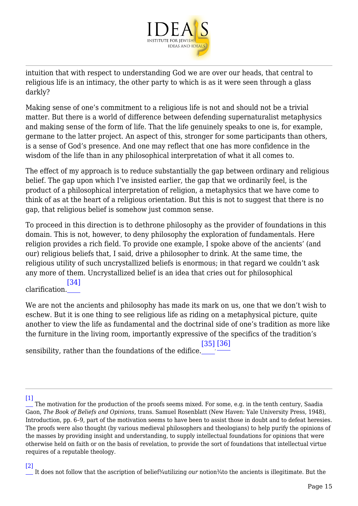

intuition that with respect to understanding God we are over our heads, that central to religious life is an intimacy, the other party to which is as it were seen through a glass darkly?

Making sense of one's commitment to a religious life is not and should not be a trivial matter. But there is a world of difference between defending supernaturalist metaphysics and making sense of the form of life. That the life genuinely speaks to one is, for example, germane to the latter project. An aspect of this, stronger for some participants than others, is a sense of God's presence. And one may reflect that one has more confidence in the wisdom of the life than in any philosophical interpretation of what it all comes to.

The effect of my approach is to reduce substantially the gap between ordinary and religious belief. The gap upon which I've insisted earlier, the gap that we ordinarily feel, is the product of a philosophical interpretation of religion, a metaphysics that we have come to think of as at the heart of a religious orientation. But this is not to suggest that there is no gap, that religious belief is somehow just common sense.

To proceed in this direction is to dethrone philosophy as the provider of foundations in this domain. This is not, however, to deny philosophy the exploration of fundamentals. Here religion provides a rich field. To provide one example, I spoke above of the ancients' (and our) religious beliefs that, I said, drive a philosopher to drink. At the same time, the religious utility of such uncrystallized beliefs is enormous; in that regard we couldn't ask any more of them. Uncrystallized belief is an idea that cries out for philosophical

<span id="page-14-2"></span>clarification. [\[34\]](#page-18-0)

We are not the ancients and philosophy has made its mark on us, one that we don't wish to eschew. But it is one thing to see religious life as riding on a metaphysical picture, quite another to view the life as fundamental and the doctrinal side of one's tradition as more like the furniture in the living room, importantly expressive of the specifics of the tradition's

<span id="page-14-3"></span>sensibility, rather than the foundations of the edifice. [\[35\]](#page-18-1) [\[36\]](#page-18-2) ,

<span id="page-14-0"></span>[\[1\]](#page-0-0)

The motivation for the production of the proofs seems mixed. For some, e.g. in the tenth century, Saadia Gaon, *The Book of Beliefs and Opinions*, trans. Samuel Rosenblatt (New Haven: Yale University Press, 1948), Introduction, pp. 6–9, part of the motivation seems to have been to assist those in doubt and to defeat heresies. The proofs were also thought (by various medieval philosophers and theologians) to help purify the opinions of the masses by providing insight and understanding, to supply intellectual foundations for opinions that were otherwise held on faith or on the basis of revelation, to provide the sort of foundations that intellectual virtue requires of a reputable theology.

<span id="page-14-1"></span>[<sup>\[2\]</sup>](#page-0-1)

It does not follow that the ascription of belief¾utilizing *our* notion¾to the ancients is illegitimate. But the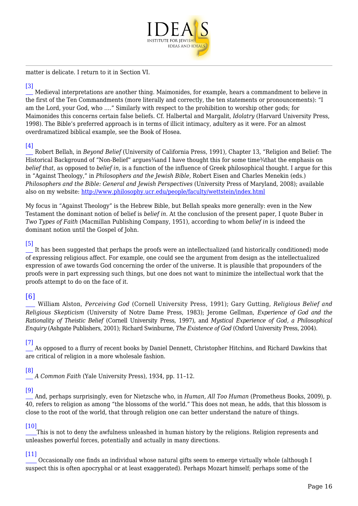

matter is delicate. I return to it in Section VI.

# <span id="page-15-0"></span>[\[3\]](#page-0-2)

 Medieval interpretations are another thing. Maimonides, for example, hears a commandment to believe in the first of the Ten Commandments (more literally and correctly, the ten statements or pronouncements): "I am the Lord, your God, who …." Similarly with respect to the prohibition to worship other gods; for Maimonides this concerns certain false beliefs. Cf. Halbertal and Margalit, *Idolatry* (Harvard University Press, 1998). The Bible's preferred approach is in terms of illicit intimacy, adultery as it were. For an almost overdramatized biblical example, see the Book of Hosea.

### <span id="page-15-1"></span>[\[4\]](#page-1-0)

 Robert Bellah, in *Beyond Belief* (University of California Press, 1991)*,* Chapter 13, "Religion and Belief: The Historical Background of "Non-Belief" argues<sup>3</sup>/and I have thought this for some time<sup>3</sup>/4that the emphasis on *belief that*, as opposed to *belief in*, is a function of the influence of Greek philosophical thought. I argue for this in "Against Theology," in *Philosophers and the Jewish Bible,* Robert Eisen and Charles Menekin (eds.) *Philosophers and the Bible: General and Jewish Perspectives* (University Press of Maryland, 2008); available also on my website:<http://www.philosophy.ucr.edu/people/faculty/wettstein/index.html>

My focus in "Against Theology" is the Hebrew Bible, but Bellah speaks more generally: even in the New Testament the dominant notion of belief is *belief in.* At the conclusion of the present paper, I quote Buber in *Two Types of Faith* (Macmillan Publishing Company, 1951), according to whom *belief in* is indeed the dominant notion until the Gospel of John.

### <span id="page-15-2"></span>[\[5\]](#page-1-1)

 It has been suggested that perhaps the proofs were an intellectualized (and historically conditioned) mode of expressing religious affect. For example, one could see the argument from design as the intellectualized expression of awe towards God concerning the order of the universe. It is plausible that propounders of the proofs were in part expressing such things, but one does not want to minimize the intellectual work that the proofs attempt to do on the face of it.

# <span id="page-15-3"></span>[\[6\]](#page-1-2)

William Alston, *Perceiving God* (Cornell University Press, 1991); Gary Gutting, *Religious Belief and Religious Skepticism* (University of Notre Dame Press, 1983); Jerome Gellman, *Experience of God and the Rationality of Theistic Belief* (Cornell University Press, 1997), and *Mystical Experience of God, a Philosophical Enquiry* (Ashgate Publishers, 2001); Richard Swinburne, *The Existence of God* (Oxford University Press, 2004).

### <span id="page-15-4"></span>[\[7\]](#page-2-0)

 As opposed to a flurry of recent books by Daniel Dennett, Christopher Hitchins, and Richard Dawkins that are critical of religion in a more wholesale fashion.

# <span id="page-15-5"></span>[\[8\]](#page-2-1)

*A Common Faith* (Yale University Press), 1934, pp. 11–12.

# <span id="page-15-6"></span>[\[9\]](#page-2-2)

 And, perhaps surprisingly, even for Nietzsche who, in *Human, All Too Human* (Prometheus Books, 2009), p. 40, refers to religion as among "the blossoms of the world." This does not mean, he adds, that this blossom is close to the root of the world, that through religion one can better understand the nature of things.

### <span id="page-15-7"></span>[\[10\]](#page-2-3)

This is not to deny the awfulness unleashed in human history by the religions. Religion represents and unleashes powerful forces, potentially and actually in many directions.

# <span id="page-15-8"></span>[\[11\]](#page-3-0)

 Occasionally one finds an individual whose natural gifts seem to emerge virtually whole (although I suspect this is often apocryphal or at least exaggerated). Perhaps Mozart himself; perhaps some of the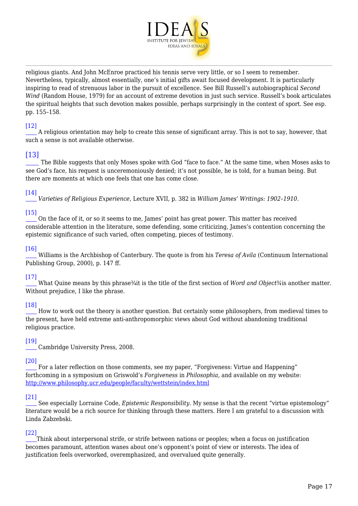

religious giants. And John McEnroe practiced his tennis serve very little, or so I seem to remember. Nevertheless, typically, almost essentially, one's initial gifts await focused development. It is particularly inspiring to read of strenuous labor in the pursuit of excellence. See Bill Russell's autobiographical *Second Wind* (Random House, 1979) for an account of extreme devotion in just such service. Russell's book articulates the spiritual heights that such devotion makes possible, perhaps surprisingly in the context of sport. See esp. pp. 155–158.

### <span id="page-16-0"></span>[\[12\]](#page-4-0)

 A religious orientation may help to create this sense of significant array. This is not to say, however, that such a sense is not available otherwise.

# <span id="page-16-1"></span>[\[13\]](#page-4-1)

The Bible suggests that only Moses spoke with God "face to face." At the same time, when Moses asks to see God's face, his request is unceremoniously denied; it's not possible, he is told, for a human being. But there are moments at which one feels that one has come close.

### <span id="page-16-2"></span>[\[14\]](#page-5-0)

*Varieties of Religious Experience*, Lecture XVII, p. 382 in *William James' Writings: 1902–1910.*

### <span id="page-16-3"></span>[\[15\]](#page-5-1)

 On the face of it, or so it seems to me, James' point has great power. This matter has received considerable attention in the literature, some defending, some criticizing, James's contention concerning the epistemic significance of such varied, often competing, pieces of testimony.

### <span id="page-16-4"></span>[\[16\]](#page-6-0)

 Williams is the Archbishop of Canterbury. The quote is from his *Teresa of Avila* (Continuum International Publishing Group, 2000), p. 147 ff.

### <span id="page-16-5"></span>[\[17\]](#page-7-0)

What Quine means by this phrase<sup>3</sup>/<sub>4</sub>it is the title of the first section of *Word and Object<sup>3</sup>*/<sub>4</sub> is another matter. Without prejudice, I like the phrase.

### <span id="page-16-6"></span>[\[18\]](#page-8-0)

 How to work out the theory is another question. But certainly some philosophers, from medieval times to the present, have held extreme anti-anthropomorphic views about God without abandoning traditional religious practice.

### <span id="page-16-7"></span>[\[19\]](#page-8-1)

Cambridge University Press, 2008.

### <span id="page-16-8"></span>[\[20\]](#page-8-2)

 For a later reflection on those comments, see my paper, "Forgiveness: Virtue and Happening" forthcoming in a symposium on Griswold's *Forgiveness* in *Philosophia,* and available on my website: <http://www.philosophy.ucr.edu/people/faculty/wettstein/index.html>

### <span id="page-16-9"></span>[\[21\]](#page-9-0)

 See especially Lorraine Code, *Epistemic Responsibility.* My sense is that the recent "virtue epistemology" literature would be a rich source for thinking through these matters. Here I am grateful to a discussion with Linda Zabzebski.

### <span id="page-16-10"></span>[\[22\]](#page-10-0)

<span id="page-16-11"></span>Think about interpersonal strife, or strife between nations or peoples; when a focus on justification becomes paramount, attention wanes about one's opponent's point of view or interests. The idea of justification feels overworked, overemphasized, and overvalued quite generally.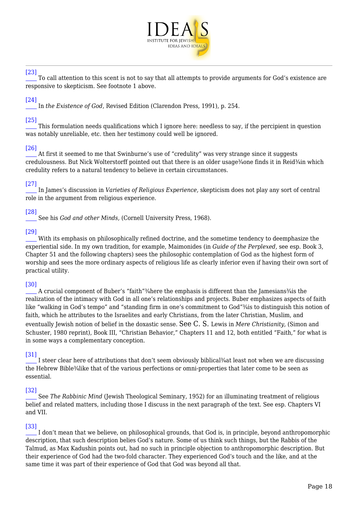

#### [\[23\]](#page-10-1)

 To call attention to this scent is not to say that all attempts to provide arguments for God's existence are responsive to skepticism. See footnote 1 above.

#### <span id="page-17-0"></span>[\[24\]](#page-10-2)

In *the Existence of God*, Revised Edition (Clarendon Press, 1991), p. 254.

#### <span id="page-17-1"></span>[\[25\]](#page-10-3)

 This formulation needs qualifications which I ignore here: needless to say, if the percipient in question was notably unreliable, etc. then her testimony could well be ignored.

#### <span id="page-17-2"></span>[\[26\]](#page-10-4)

 At first it seemed to me that Swinburne's use of "credulity" was very strange since it suggests credulousness. But Nick Wolterstorff pointed out that there is an older usage¼one finds it in Reid¼in which credulity refers to a natural tendency to believe in certain circumstances.

#### <span id="page-17-3"></span>[\[27\]](#page-11-0)

 In James's discussion in *Varieties of Religious Experience,* skepticism does not play any sort of central role in the argument from religious experience.

#### <span id="page-17-4"></span>[\[28\]](#page-11-1)

See his *God and other Minds,* (Cornell University Press, 1968).

#### <span id="page-17-5"></span>[\[29\]](#page-12-0)

 With its emphasis on philosophically refined doctrine, and the sometime tendency to deemphasize the experiential side. In my own tradition, for example, Maimonides (in *Guide of the Perplexed,* see esp. Book 3, Chapter 51 and the following chapters) sees the philosophic contemplation of God as the highest form of worship and sees the more ordinary aspects of religious life as clearly inferior even if having their own sort of practical utility.

#### <span id="page-17-6"></span>[\[30\]](#page-13-0)

A crucial component of Buber's "faith"3/4 here the emphasis is different than the Jamesians3/4 is the realization of the intimacy with God in all one's relationships and projects. Buber emphasizes aspects of faith like "walking in God's tempo" and "standing firm in one's commitment to God"<sup>3</sup>/is to distinguish this notion of faith, which he attributes to the Israelites and early Christians, from the later Christian, Muslim, and eventually Jewish notion of belief in the doxastic sense. See C. S. Lewis in *Mere Christianity,* (Simon and Schuster, 1980 reprint), Book III, "Christian Behavior," Chapters 11 and 12, both entitled "Faith," for what is in some ways a complementary conception.

#### <span id="page-17-7"></span>[\[31\]](#page-13-1)

 I steer clear here of attributions that don't seem obviously biblical¾at least not when we are discussing the Hebrew Bible<sup>3</sup>/4like that of the various perfections or omni-properties that later come to be seen as essential.

#### <span id="page-17-8"></span>[\[32\]](#page-13-2)

 See *The Rabbinic Mind* (Jewish Theological Seminary, 1952) for an illuminating treatment of religious belief and related matters, including those I discuss in the next paragraph of the text. See esp. Chapters VI and VII.

#### <span id="page-17-9"></span>[\[33\]](#page-13-3)

 I don't mean that we believe, on philosophical grounds, that God is, in principle, beyond anthropomorphic description, that such description belies God's nature. Some of us think such things, but the Rabbis of the Talmud, as Max Kadushin points out, had no such in principle objection to anthropomorphic description. But their experience of God had the two-fold character. They experienced God's touch and the like, and at the same time it was part of their experience of God that God was beyond all that.